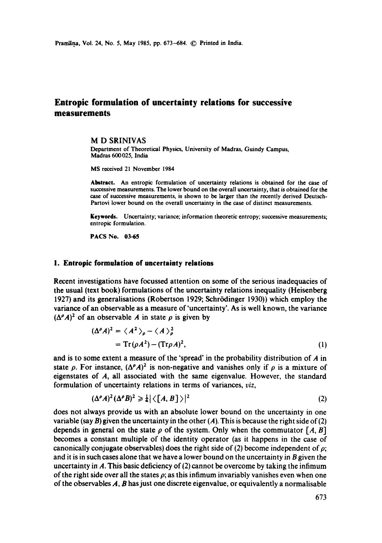# **Entropic formulation of uncertainty relations for successive measurements**

#### M D SRINIVAS

Department of Theoretical Physics, University of Madras, Guindy Campus, Madras 600 025, India

MS received 21 November 1984

**Abstract.** An entropic formulation of uncertainty relations is obtained for the case of successive measurements. The lower bound on the overall uncertainty, that is obtained for **the**  case of successive measurements, is shown to be larger than the recently derived Deutsch-Partovi lower bound on the overall uncertainty in the case of distinct measurements.

**Keywords.** Uncertainty; variance; information theoretic entropy; successive measurements; entropic formulation.

**PACS No. 03.65** 

## **l. Entropic formulation of uncertainty relations**

Recent investigations have focussed attention on some of the serious inadequacies of the usual (text book) formulations of the uncertainty relations inequality (Heisenberg 1927) and its generalisations (Robertson 1929; Schr6dinger 1930)) which employ the variance of an observable as a measure of'uncertainty'. As is well known, the variance  $({\Delta}^{\rho}A)^2$  of an observable A in state  $\rho$  is given by

$$
(\Delta^{\rho} A)^2 = \langle A^2 \rangle_{\rho} - \langle A \rangle_{\rho}^2
$$
  
= Tr( $\rho A^2$ ) – (Tr $\rho A$ )<sup>2</sup>, (1)

and is to some extent a measure of the 'spread' in the probability distribution of  $\boldsymbol{A}$  in state  $\rho$ . For instance,  $({\Delta}^{\rho}A)^2$  is non-negative and vanishes only if  $\rho$  is a mixture of eigenstates of A, all associated with the same eigenvalue. However, the standard formulation of uncertainty relations in terms of variances, *viz,* 

$$
(\Delta^{\rho}A)^2(\Delta^{\rho}B)^2 \ge \frac{1}{4} |\langle [A, B] \rangle|^2 \tag{2}
$$

does not always provide us with an absolute lower bound on the uncertainty in one variable (say B) given the uncertainty in the other  $(A)$ . This is because the right side of (2) depends in general on the state  $\rho$  of the system. Only when the commutator [A, B] becomes a constant multiple of the identity operator (as it happens in the case of canonically conjugate observables) does the right side of (2) become independent of  $\rho$ ; and it is in such cases alone that we have a lower bound on the uncertainty in B given the uncertainty in A. This basic deficiency of  $(2)$  cannot be overcome by taking the infimum of the right side over all the states  $\rho$ ; as this infimum invariably vanishes even when one of the observables  $A$ ,  $B$  has just one discrete eigenvalue, or equivalently a normalisable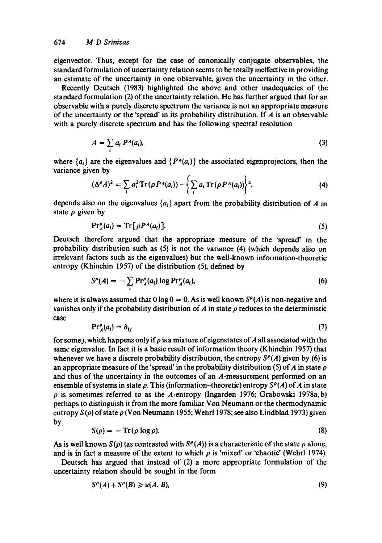eigenvector. Thus, except for the case of canonically conjugate observables, the standard formulation of uncertainty relation seems to be totally ineffective in providing an estimate of the uncertainty in one observable, given the uncertainty in the other.

Recently Deutsch (1983) highlighted the above and other inadequacies of the standard formulation (2) of the uncertainty relation. He has further argued that for an observable with a purely discrete spectrum the variance is not an appropriate measure of the uncertainty or the 'spread' in its probability distribution. If  $A$  is an observable with a purely discrete spectrum and has the following spectral resolution

$$
A = \sum_{i} a_i P^A(a_i), \tag{3}
$$

where  ${a_i}$  are the eigenvalues and  ${P<sup>A</sup>(a_i)}$  the associated eigenprojectors, then the variance given by

$$
(\Delta^{\rho} A)^2 = \sum_i a_i^2 \operatorname{Tr} (\rho P^A(a_i)) - \left\{ \sum_i a_i \operatorname{Tr} (\rho P^A(a_i)) \right\}^2, \tag{4}
$$

depends also on the eigenvalues  $\{a_i\}$  apart from the probability distribution of A in state  $\rho$  given by

$$
\Pr_{A}^{\rho}(a_{i}) = \text{Tr}[\rho P^{\mathcal{A}}(a_{i})]. \tag{5}
$$

Deutsch therefore argued that the appropriate measure of the 'spread' in the probability distribution such as (5) is not the variance (4) (which depends also on irrelevant factors such as the eigenvalues) but the well-known information-theoretic entropy (Khinchin 1957) of the distribution (5), defined by

$$
S^{\rho}(A) = -\sum_{i} \Pr_{A}^{\rho}(a_{i}) \log \Pr_{A}^{\rho}(a_{i}), \qquad (6)
$$

where it is always assumed that  $0 \log 0 = 0$ . As is well known  $S^{\rho}(A)$  is non-negative and vanishes only if the probability distribution of A in state  $\rho$  reduces to the deterministic case

$$
\Pr_{A}^{\rho}(a_{i}) = \delta_{ij} \tag{7}
$$

for some *j*, which happens only if  $\rho$  is a mixture of eigenstates of A all associated with the same eigenvalue. In fact it is a basic result of information theory (Khinchin 1957) that whenever we have a discrete probability distribution, the entropy  $S<sup>\rho</sup>(A)$  given by (6) is an appropriate measure of the 'spread' in the probability distribution (5) of A in state  $\rho$ and thus of the uncertainty in the outcomes of an A-measurement performed on an ensemble of systems in state  $\rho$ . This (information-theoretic) entropy  $S^{\rho}(A)$  of A in state  $\rho$  is sometimes referred to as the A-entropy (Ingarden 1976; Grabowski 1978a, b) perhaps to distinguish it from the more familiar Von Neumann or the thermodynamic entropy  $S(\rho)$  of state  $\rho$  (Von Neumann 1955; Wehrl 1978; see also Lindblad 1973) given by

$$
S(\rho) = -\operatorname{Tr}(\rho \log \rho). \tag{8}
$$

As is well known  $S(\rho)$  (as contrasted with  $S^{\rho}(A)$ ) is a characteristic of the state  $\rho$  alone, and is in fact a measure of the extent to which  $\rho$  is 'mixed' or 'chaotic' (Wehrl 1974).

Deutsch has argued that instead of (2) a more appropriate formulation of the uncertainty relation should be sought in the form

$$
S^{\rho}(A) + S^{\rho}(B) \geq u(A, B), \tag{9}
$$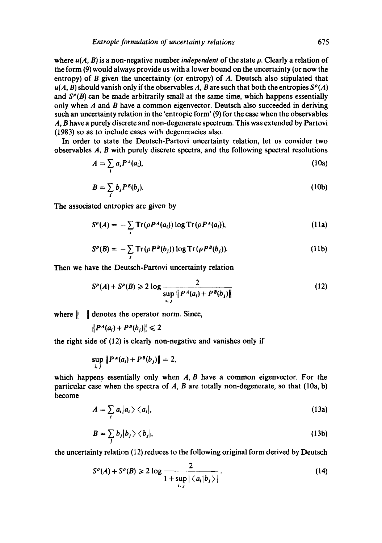where *u(A, B)* is a non-negative number *independent* of the state p. Clearly a relation of the form (9) would always provide us with a lower bound on the uncertainty (or now the entropy) of B given the uncertainty (or entropy) of A. Deutsch also stipulated that  $u(A, B)$  should vanish only if the observables A, B are such that both the entropies  $S<sup>\rho</sup>(A)$ and  $S^{\rho}(B)$  can be made arbitrarily small at the same time, which happens essentially only when A and B have a common eigenvector. Deutsch also succeeded in deriving such an uncertainty relation in the 'entropic form' (9) for the case when the observables A, B have a purely discrete and non-degenerate spectrum. This was extended by Partovi (1983) so as to include cases with degeneracies also.

In order to state the Deutsch-Partovi uncertainty relation, let us consider two observables A, B with purely discrete spectra, and the following spectral resolutions

$$
A = \sum_{i} a_i P^A(a_i), \qquad (10a)
$$

$$
B = \sum_{j} b_j P^B(b_j). \tag{10b}
$$

The associated entropies are given by

$$
S^{\rho}(A) = -\sum_{i} \text{Tr}(\rho P^A(a_i)) \log \text{Tr}(\rho P^A(a_i)), \qquad (11a)
$$

$$
S^{\rho}(B) = -\sum_{j} \text{Tr}(\rho P^{B}(b_{j})) \log \text{Tr}(\rho P^{B}(b_{j})). \qquad (11b)
$$

Then we have the Deutsch-Partovi uncertainty relation

$$
S^{\rho}(A) + S^{\rho}(B) \ge 2 \log \frac{2}{\sup_{i,j} \| P^A(a_i) + P^B(b_j) \|}
$$
 (12)

where  $\|\cdot\|$  denotes the operator norm. Since,

 $||P^A(a_i) + P^B(b_i)|| \leq 2$ 

the right side of (12) is clearly non-negative and vanishes only if

$$
\sup_{i,j} \|P^A(a_i) + P^B(b_j)\| = 2,
$$

which happens essentially only when  $A$ ,  $B$  have a common eigenvector. For the particular case when the spectra of  $A$ ,  $B$  are totally non-degenerate, so that (10a, b) become

$$
A = \sum_{i} a_i |a_i\rangle \langle a_i|, \tag{13a}
$$

$$
B = \sum_{j} b_j |b_j\rangle \langle b_j|, \tag{13b}
$$

the uncertainty relation **(12)** reduces to the following original form derived by Deutsch

$$
S^{\rho}(A) + S^{\rho}(B) \ge 2 \log \frac{2}{1 + \sup_{i,j} |\langle a_i | b_j \rangle|}.
$$
 (14)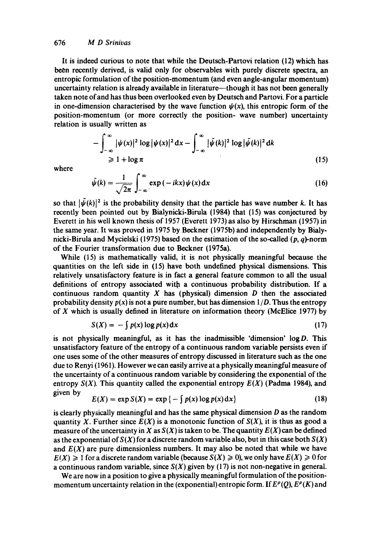It is indeed curious to note that while the Deutsch-Partovi relation (12) which has been recently derived, is valid only for observables with purely discrete spectra, an entropic formulation of the position-momentum (and even angle-angular momentum) uncertainty relation is already available in literature--though it has not been generally taken note of and has thus been overlooked even by Deutsch and Partovi. For a particle in one-dimension characterised by the wave function  $\psi(x)$ , this entropic form of the position-momentum (or more correctly the position- wave number) uncertainty relation is usually written as

$$
-\int_{-\infty}^{\infty} |\psi(x)|^2 \log |\psi(x)|^2 dx - \int_{-\infty}^{\infty} |\tilde{\psi}(k)|^2 \log |\tilde{\psi}(k)|^2 dk
$$
  
\n
$$
\geq 1 + \log \pi
$$
 (15)

where

$$
\tilde{\psi}(k) = \frac{1}{\sqrt{2\pi}} \int_{-\infty}^{\infty} \exp(-ikx) \psi(x) dx
$$
\n(16)

so that  $|\psi(k)|^2$  is the probability density that the particle has wave number k. It has recently been pointed out by Bialynicki-Birula (1984) that (15) was conjectured by Everett in his well known thesis of 1957 (Everett 1973) as also by Hirschman (1957) in the same year. It was proved in 1975 by Beckner (1975b) and independently by Bialynicki-Birula and Mycielski (1975) based on the estimation of the so-called  $(p, q)$ -norm of the Fourier transformation due to Beckner (1975a).

While (15) is mathematically valid, it is not physically meaningful because the quantities on the left side in (15) have both undefined physical dismensions. This relatively unsatisfactory feature is in fact a general feature common to all the usual definitions of entropy associated with a continuous probability distribution. If a continuous random quantity  $X$  has (physical) dimension  $D$  then the associated probability density  $p(x)$  is not a pure number, but has dimension  $1/D$ . Thus the entropy of  $X$  which is usually defined in literature on information theory (McElice 1977) by

$$
S(X) = -\int p(x) \log p(x) dx \tag{17}
$$

is not physically meaningful, as it has the inadmissible 'dimension'  $log D$ . This unsatisfactory feature of the entropy of a continuous random variable persists even if one uses some of the other measures of entropy discussed in literature such as the one due to Renyi (1961). However we can easily arrive at a physically meaningful measure of the uncertainty of a continuous random variable by considering the exponential of the entropy  $S(X)$ . This quantity called the exponential entropy  $E(X)$  (Padma 1984), and given by

$$
E(X) = \exp S(X) = \exp \{-\int p(x) \log p(x) dx\}
$$
 (18)

is clearly physically meaningful and has the same physical dimension  $D$  as the random quantity X. Further since  $E(X)$  is a monotonic function of  $S(X)$ , it is thus as good a measure of the uncertainty in X as  $S(X)$  is taken to be. The quantity  $E(X)$  can be defined as the exponential of  $S(X)$  for a discrete random variable also, but in this case both  $S(X)$ and  $E(X)$  are pure dimensionless numbers. It may also be noted that while we have  $E(X) \ge 1$  for a discrete random variable (because  $S(X) \ge 0$ ), we only have  $E(X) \ge 0$  for a continuous random variable, since  $S(X)$  given by (17) is not non-negative in general.

We are now in a position to give a physically meaningful formulation of the positionmomentum uncertainty relation in the (exponential) entropic form. If  $E^{\rho}(Q)$ ,  $E^{\rho}(K)$  and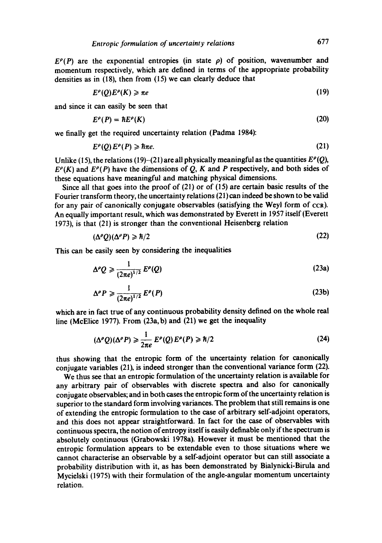$E^{\rho}(P)$  are the exponential entropies (in state  $\rho$ ) of position, wavenumber and momentum respectively, which are defined in terms of the appropriate probability densities as in (18), then from (15) we can clearly deduce that

$$
E^{\rho}(Q)E^{\rho}(K) \geqslant \pi e \tag{19}
$$

and since it can easily be seen that

$$
E^{\rho}(P) = \hbar E^{\rho}(K) \tag{20}
$$

we finally get the required uncertainty relation (Padma 1984):

$$
E^{\rho}(Q)E^{\rho}(P) \geqslant \hbar \pi e. \tag{21}
$$

Unlike (15), the relations (19)-(21) are all physically meaningful as the quantities  $E^{\rho}(Q)$ ,  $E^{\rho}(K)$  and  $E^{\rho}(P)$  have the dimensions of Q, K and P respectively, and both sides of these equations have meaningful and matching physical dimensions.

Since all that goes into the proof of (21) or of (15) are certain basic results of the Fourier transform theory, the uncertainty relations (21) can indeed be shown to be valid for any pair of canonically conjugate observables (satisfying the Weyl form of ccR). An equally important result, which was demonstrated by Everett in 1957 itself (Everett 1973), is that (21) is stronger than the conventional Heisenberg relation

$$
(\Delta^{\rho}Q)(\Delta^{\rho}P) \geqslant \hbar/2 \tag{22}
$$

This can be easily seen by considering the inequalities

$$
\Delta^{\rho} Q \geqslant \frac{1}{(2\pi e)^{1/2}} E^{\rho}(Q) \tag{23a}
$$

$$
\Delta^{\rho} P \geqslant \frac{1}{(2\pi e)^{1/2}} E^{\rho}(P) \tag{23b}
$$

which are in fact true of any continuous probability density defined on the whole real line (McElice 1977). From (23a,b) and (21) we get the inequality

$$
(\Delta^{\rho} Q)(\Delta^{\rho} P) \geq \frac{1}{2\pi e} E^{\rho} (Q) E^{\rho} (P) \geq \hbar/2
$$
 (24)

thus showing that the entropic form of the uncertainty relation for canonically conjugate variables (21), is indeed stronger than the conventional variance form (22).

We thus see that an entropic formulation of the uncertainty relation is available for any arbitrary pair of observables with discrete spectra and also for canonically conjugate observables; and in both cases the entropic form of the uncertainty relation is superior to the standard form involving variances. The problem that still remains is one of extending the entropic formulation to the case of arbitrary self-adjoint operators, and this does not appear straightforward. In fact for the case of observables with continuous spectra, the notion ofentropy itself is easily definable only if the spectrum is absolutely continuous (Grabowski 1978a). However it must be mentioned that the entropic formulation appears to be extendable even to those situations where we cannot characterise an observable by a self-adjoint operator but can still associate a probability distribution with it, as has been demonstrated by Bialynicki-Birula and Mycielski (1975) with their formulation of the angle-angular momentum uncertainty relation.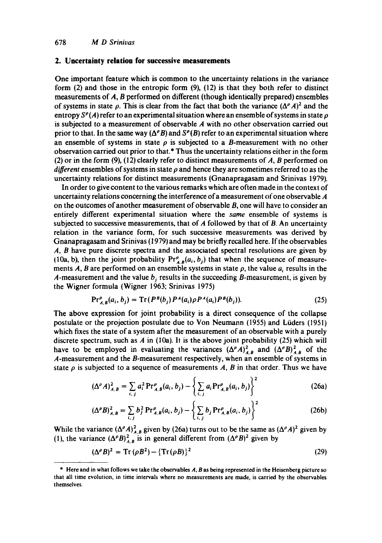### **2. Uncertainty relation for successive measurements**

One important feature which is common to the uncertainty relations in the variance form (2) and those in the entropic form (9), (12) is that they both refer to distinct measurements of A, B performed on different (though identically prepared) ensembles of systems in state  $\rho$ . This is clear from the fact that both the variance  $({\Delta}^{\rho} A)^2$  and the entropy  $S^{\rho}(A)$  refer to an experimental situation where an ensemble of systems in state  $\rho$ is subjected to a measurement of observable A with no other observation carried out prior to that. In the same way  $(\Delta^{\rho}B)$  and  $S^{\rho}(B)$  refer to an experimental situation where an ensemble of systems in state  $\rho$  is subjected to a B-measurement with no other observation carried out prior to that.\* Thus the uncertainty relations either in the form (2) or in the form (9), (12) clearly refer to distinct measurements of  $A$ ,  $B$  performed on *different* ensembles of systems in state  $\rho$  and hence they are sometimes referred to as the uncertainty relations for distinct measurements (Gnanapragasam and Srinivas 1979).

In order to give content to the various remarks which are often made in the context of uncertainty relations concerning the interference of a measurement of one observable A on the outcomes of another measurement of observable B, one will have to consider an entirely different experimental situation where the *same* ensemble of systems is subjected to successive measurements, that of  $A$  followed by that of  $B$ . An uncertainty relation in the variance form, for such successive measurements was derived by Gnanapragasam and Srinivas (1979)and may be briefly recalled here. If the observables A, B have pure discrete spectra and the associated spectral resolutions are given by (10a, b), then the joint probability  $Pr_{AB}^{\rho}(a_i, b_j)$  that when the sequence of measurements A, B are performed on an ensemble systems in state  $\rho$ , the value  $a_i$  results in the A-measurement and the value  $b_i$  results in the succeeding B-measurement, is given by the Wigner formula (Wigner 1963; Srinivas 1975)

$$
Pr_{A,B}^{\rho}(a_i, b_j) = Tr(P^{B}(b_j)P^{A}(a_i)\rho P^{A}(a_i)P^{B}(b_j)).
$$
\n(25)

The above expression for joint probability is a direct consequence of the collapse postulate or the projection postulate due to Von Neumann (1955) and Liiders (1951) which fixes the state of a system after the measurement of an observable with a purely discrete spectrum, such as  $A$  in (10a). It is the above joint probability (25) which will have to be employed in evaluating the variances  $({\Delta}^{\rho} A)^2_{A,B}$  and  $({\Delta}^{\rho} B)^2_{A,B}$  of the A-measurement and the B-measurement respectively, when an ensemble of systems in state  $\rho$  is subjected to a sequence of measurements A, B in that order. Thus we have

$$
(\Delta^{\rho} A)^2_{A,B} = \sum_{i,j} a_i^2 \Pr^{\rho}_{A,B}(a_i, b_j) - \left\{ \sum_{i,j} a_i \Pr^{\rho}_{A,B}(a_i, b_j) \right\}^2
$$
 (26a)

$$
(\Delta^{\rho}B)^{2}_{A,B} = \sum_{i,j} b_{j}^{2} \Pr^{P}_{A,B}(a_{i}, b_{j}) - \left\{ \sum_{i,j} b_{j} \Pr^{P}_{A,B}(a_{i}, b_{j}) \right\}^{2}
$$
 (26b)

While the variance  $({\Delta}^{\rho} A)^{2}_{A,R}$  given by (26a) turns out to be the same as  $({\Delta}^{\rho} A)^{2}$  given by (1), the variance  $({\Delta}^{\rho}B)^2_{AB}$  is in general different from  $({\Delta}^{\rho}B)^2$  given by

$$
(\Delta^{\rho}B)^2 = \operatorname{Tr}\left(\rho B^2\right) - \left\{\operatorname{Tr}\left(\rho B\right)\right\}^2\tag{29}
$$

<sup>\*</sup> Here and in what follows we take the observables A, B as being represented in the Heisenberg picture so that all time evolution, in time intervals where no measurements are made, is carried by the observables themselves.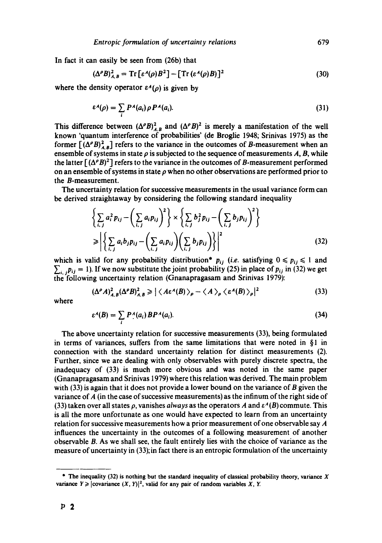In fact it can easily be seen from (26b) that

$$
(\Delta^{\rho}B)^{2}_{A,B} = \text{Tr}\left[\varepsilon^{A}(\rho)B^{2}\right] - \left[\text{Tr}\left(\varepsilon^{A}(\rho)B\right)\right]^{2}
$$
\n(30)

where the density operator  $\varepsilon^A(\rho)$  is given by

$$
\varepsilon^{A}(\rho) = \sum_{i} P^{A}(a_{i}) \rho P^{A}(a_{i}). \qquad (31)
$$

This difference between  $({\Delta}^{\rho}B)^2_{A,B}$  and  $({\Delta}^{\rho}B)^2$  is merely a manifestation of the well known 'quantum interference of probabilities' (de Broglie 1948; Srinivas 1975) as the former  $[(\Delta^{\rho}B)^{2}_{AB}]$  refers to the variance in the outcomes of B-measurement when an ensemble of systems in state  $\rho$  is subjected to the sequence of measurements A, B, while the latter  $[(\Delta^{\rho}B)^{2}]$  refers to the variance in the outcomes of B-measurement performed on an ensemble of systems in state  $\rho$  when no other observations are performed prior to the B-measurement.

The uncertainty relation for successive measurements in the usual variance form can be derived straightaway by considering the following standard inequality

$$
\left\{\sum_{i,j} a_i^2 p_{ij} - \left(\sum_{i,j} a_i p_{ij}\right)^2\right\} \times \left\{\sum_{i,j} b_j^2 p_{ij} - \left(\sum_{i,j} b_j p_{ij}\right)^2\right\}
$$
\n
$$
\geq \left|\left\{\sum_{i,j} a_i b_j p_{ij} - \left(\sum_{i,j} a_i p_{ij}\right) \left(\sum_{i,j} b_j p_{ij}\right)\right\}\right|^2\right\}
$$
\n(32)

which is valid for any probability distribution<sup>\*</sup>  $p_{ij}$  (i.e. satisfying  $0 \leq p_{ij} \leq 1$  and  $\sum_{i,j} p_{ij} = 1$ ). If we now substitute the joint probability (25) in place of  $p_{ij}$  in (32) we get the following uncertainty relation (Gnanapragasam and Srinivas 1979):

$$
(\Delta^{\rho}A)^{2}_{A,B}(\Delta^{\rho}B)^{2}_{A,B} \geqslant |\langle A\varepsilon^{A}(B)\rangle_{\rho} - \langle A \rangle_{\rho} \langle \varepsilon^{A}(B)\rangle_{\rho}|^{2}
$$
(33)

where

$$
\varepsilon^{A}(B) = \sum_{i} P_{i}^{A}(a_{i}) B P^{A}(a_{i}). \qquad (34)
$$

The above uncertainty relation for successive measurements (33), being formulated in terms of variances, suffers from the same limitations that were noted in  $\S1$  in connection with the standard uncertainty relation for distinct measurements (2). Further, since we are dealing with only observables with purely discrete spectra, the inadequacy of (33) is much more obvious and was noted in the same paper (Gnanapragasam and Srinivas 1979) where this relation was derived. The main problem with (33) is again that it does not provide a lower bound on the variance of B given the variance of A (in the case of successive measurements) as the infinum of the right side of (33) taken over all states  $\rho$ , vanishes *always* as the operators A and  $\varepsilon^A(B)$  commute. This is all the more unfortunate as one would have expected to learn from an uncertainty relation for successive measurements how a prior measurement of one observable say A influences the uncertainty in the outcomes of a following measurement of another observable B. As we shall see, the fault entirely lies with the choice of variance as the measure of uncertainty in (33); in fact there is an entropic formulation of the uncertainty

<sup>\*</sup> The inequality (32) is nothing but the standard inequality of classical probability theory, variance  $X$ variance  $Y \ge |\text{covariance } (X, Y)|^2$ , valid for any pair of random variables X, Y.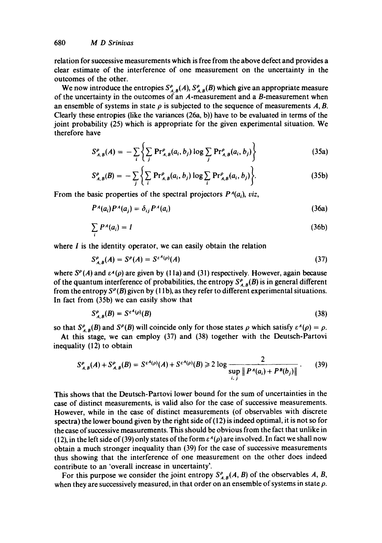relation for successive measurements which is free from the above defect and provides a clear estimate of the interference of one measurement on the uncertainty in the outcomes of the other.

We now introduce the entropies  $S_{A,B}^{\rho}(A)$ ,  $S_{A,B}^{\rho}(B)$  which give an appropriate measure of the uncertainty in the outcomes of an A-measurement and a B-measurement when an ensemble of systems in state  $\rho$  is subjected to the sequence of measurements A, B. Clearly these entropies (like the variances  $(26a, b)$ ) have to be evaluated in terms of the joint probability (25) which is appropriate for the given experimental situation. We therefore have

$$
S_{A,B}^{\rho}(A) = -\sum_{i} \left\{ \sum_{j} \Pr_{A,B}^{\rho}(a_i, b_j) \log \sum_{j} \Pr_{A,B}^{\rho}(a_i, b_j) \right\}
$$
(35a)

$$
S_{A,B}^{\rho}(B) = -\sum_{j} \left\{ \sum_{i} \Pr_{A,B}^{\rho}(a_i, b_j) \log \sum_{i} \Pr_{A,B}^{\rho}(a_i, b_j) \right\}.
$$
 (35b)

From the basic properties of the spectral projectors  $P<sup>A</sup>(a<sub>i</sub>)$ , viz,

$$
P^A(a_i)P^A(a_j) = \delta_{ij}P^A(a_i) \tag{36a}
$$

$$
\sum_{i} P^{A}(a_{i}) = I \tag{36b}
$$

where  $I$  is the identity operator, we can easily obtain the relation

$$
S_{A,B}^{\rho}(A) = S^{\rho}(A) = S^{\varepsilon^{A}(\rho)}(A) \tag{37}
$$

where  $S<sup>\rho</sup>(A)$  and  $\varepsilon<sup>A</sup>(\rho)$  are given by (11a) and (31) respectively. However, again because of the quantum interference of probabilities, the entropy  $S_{A,B}^{\rho}(B)$  is in general different from the entropy  $S^{\rho}(B)$  given by (11b), as they refer to different experimental situations. In fact from (35b) we can easily show that

$$
S_{A,B}^{\rho}(B) = S^{\varepsilon^A(\rho)}(B) \tag{38}
$$

so that  $S_{A,B}^{\rho}(B)$  and  $S^{\rho}(B)$  will coincide only for those states  $\rho$  which satisfy  $\varepsilon^{A}(\rho) = \rho$ .

At this stage, we can employ (37) and (38) together with the Deutsch-Partovi inequality (12) to obtain

$$
S_{A,B}^{\rho}(A) + S_{A,B}^{\rho}(B) = S^{\varepsilon^{A}(\rho)}(A) + S^{\varepsilon^{A}(\rho)}(B) \ge 2 \log \frac{2}{\sup_{i,j} \| P^A(a_i) + P^B(b_j) \|}.
$$
 (39)

This shows that the Deutsch-Partovi lower bound for the sum of uncertainties in the case of distinct measurements, is valid also for the case of successive measurements. However, while in the case of distinct measurements (of observables with discrete spectra) the lower bound given by the right side of  $(12)$  is indeed optimal, it is not so for the case of successive measurements. This should be obvious from the fact that unlike in (12), in the left side of (39) only states of the form  $\varepsilon^A(\rho)$  are involved. In fact we shall now obtain a much stronger inequality than (39) for the case of successive measurements thus showing that the interference of one measurement on the other does indeed contribute to an 'overall increase in uncertainty'.

For this purpose we consider the joint entropy  $S_{A,B}^{\rho}(A, B)$  of the observables A, B, when they are successively measured, in that order on an ensemble of systems in state  $\rho$ .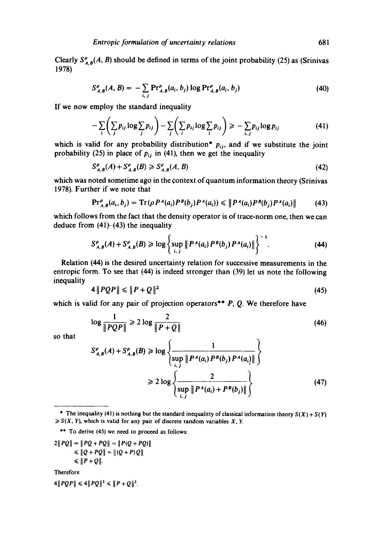Clearly  $S_{A,B}^{\rho}(A, B)$  should be defined in terms of the joint probability (25) as (Srinivas 1978)

$$
S_{A,B}^{\rho}(A,B) = -\sum_{i,j} \Pr_{A,B}^{\rho}(a_i,b_j) \log \Pr_{A,B}^{\rho}(a_i,b_j)
$$
 (40)

If we now employ the standard inequality

$$
-\sum_{i}\left(\sum_{j}p_{ij}\log\sum_{j}p_{ij}\right)-\sum_{j}\left(\sum_{i}p_{ij}\log\sum_{i}p_{ij}\right)\geq -\sum_{i,j}p_{ij}\log p_{ij}
$$
(41)

which is valid for any probability distribution\*  $p_{ij}$ , and if we substitute the joint probability (25) in place of  $p_{ij}$  in (41), then we get the inequality

$$
S_{A,B}^{\rho}(A) + S_{A,B}^{\rho}(B) \ge S_{A,B}^{\rho}(A,B)
$$
\n(42)

which was noted sometime ago in the context of quantum information theory (Srinivas 1978). Further if we note that

$$
\Pr_{A,B}^{\rho}(a_i,b_j)=\mathrm{Tr}\left(\rho\,P^A(a_i)P^B(b_j)P^A(a_i)\right)\leqslant\left\|P^A(a_i)P^B(b_j)P^A(a_i)\right\|\qquad(43)
$$

which follows from the fact that the density operator is of trace-norm one, then we can deduce from (41)-(43) the inequality

$$
S_{A,B}^{\rho}(A) + S_{A,B}^{\rho}(B) \ge \log \left\{ \sup_{i,j} \| P^A(a_i) P^B(b_j) P^A(a_i) \| \right\}^{-1}.
$$
 (44)

Relation (44) is the desired uncertainty relation for successive measurements in the entropic form. To see that (44) is indeed stronger than (39) let us note the following inequality

$$
4\|PQP\| \leqslant \|P+Q\|^2\tag{45}
$$

which is valid for any pair of projection operators<sup>\*\*</sup> P, Q. We therefore have

$$
\log \frac{1}{\|PQP\|} \ge 2 \log \frac{2}{\|P+Q\|} \tag{46}
$$

so that

$$
S_{A,B}^{\rho}(A) + S_{A,B}^{\rho}(B) \ge \log \left\{ \frac{1}{\sup_{i,j} \| P^A(a_i) P^B(b_j) P^A(a_j) \|} \right\}
$$
  
 
$$
\ge 2 \log \left\{ \frac{2}{\sup_{i,j} \| P^A(a_i) + P^B(b_j) \|} \right\}
$$
 (47)

 $2 || PQ || = || PQ + PQ || = || P(Q + PQ) ||$  $\leq$   $||Q + PQ|| = ||(Q + P)Q||$  $\leq$   $\|P+Q\|$ .

Therefore

 $4||PQP|| \leq 4||PQ||^2 \leq ||P+Q||^2$ .

<sup>\*</sup> The inequality (41) is nothing but the standard inequalitty of classical information theory  $S(X) + S(Y)$  $\geq S(X, Y)$ , which is valid for any pair of discrete random variables X, Y.

<sup>\*\*</sup> To derive (45) we need to proceed as follows: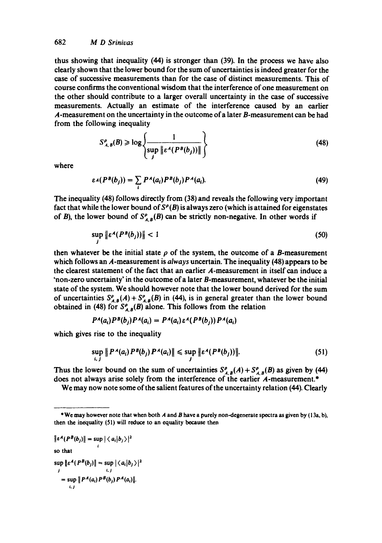thus showing that inequality (44) is stronger than (39). In the process we have also clearly shown that the lower bound for the sum of uncertainties is indeed greater for the case of successive measurements than for the case of distinct measurements. This of course confirms the conventional wisdom that the interference of one measurement on the other should contribute to a larger overall uncertainty in the case of successive measurements. Actually an estimate of the interference caused by an earlier A-measurement on the uncertainty in the outcome of a later B-measurement can be had from the following inequality

$$
S_{A,B}^{\rho}(B) \ge \log \left\{ \frac{1}{\sup_j \left\| \varepsilon^A (P^B(b_j)) \right\|} \right\} \tag{48}
$$

where

$$
\varepsilon A(P^B(b_j)) = \sum_i P^A(a_i) P^B(b_j) P^A(a_i). \tag{49}
$$

The inequality (48) follows directly from (38) and reveals the following very important fact that while the lower bound of  $S<sup>\rho</sup>(B)$  is always zero (which is attained for eigenstates of B), the lower bound of  $S_{A,B}^{\rho}(B)$  can be strictly non-negative. In other words if

$$
\sup_j \|\varepsilon^A(P^B(b_j))\| < 1\tag{50}
$$

then whatever be the initial state  $\rho$  of the system, the outcome of a B-measurement which follows an A-measurement is *always* uncertain. The inequality (48) appears to be the clearest statement of the fact that an earlier A-measurement in itself can induce a 'non-zero uncertainty' in the outcome of a later B-measurement, whatever be the initial state of the system. We should however note that the lower bound derived for the sum of uncertainties  $S_{A,B}^{\rho}(A) + S_{A,B}^{\rho}(B)$  in (44), is in general greater than the lower bound obtained in (48) for  $S_{A,B}^{\rho}(B)$  alone. This follows from the relation

$$
P^A(a_i)P^B(b_j)P^A(a_i) = P^A(a_i)\epsilon^A(P^B(b_i))P^A(a_i)
$$

which gives rise to the inequality

$$
\sup_{i,j} \| P^A(a_i) P^B(b_j) P^A(a_i) \| \leq \sup_j \| \varepsilon^A (P^B(b_j)) \|.
$$
 (51)

Thus the lower bound on the sum of uncertainties  $S_{A,B}^{\rho}(A) + S_{A,B}^{\rho}(B)$  as given by (44) does not always arise solely from the interference of the earlier A-measurement.\*

We may now note some of the salient features of the uncertainty relation (44). Clearly

```
\|\epsilon^A(P^b(b_j)\| = \sup_i |\langle a_i|b_j\rangle|^2
```
so that

 $\sup_j ||\varepsilon^A (P^b(b_j)|| = \sup_{i,j} |\langle a_i | b_j \rangle|^2$  $=$  sup  $||P^A(a_i) P^B(b_j) P^A(a_i)||$ . hJ

<sup>\*</sup> We may however note that when both A and B have a purely non-degenerate spectra as given by (I 3a, b), then the inequality (51) will reduce to an equality because then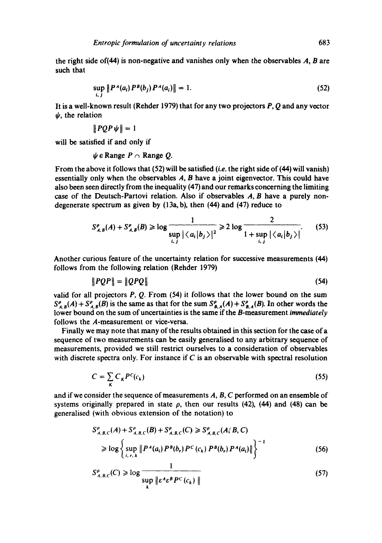the right side of(44) is non-negative and vanishes only when the observables A, B are such that

$$
\sup_{i,j} \| P^A(a_i) P^B(b_j) P^A(a_i) \| = 1.
$$
 (52)

It is a well-known result (Rehder 1979) that for any two projectors P, Q and any vector  $\psi$ , the relation

$$
\|PQP\psi\|=1
$$

will be satisfied if and only if

 $\psi \in \mathbb{R}$ ange  $P \cap \mathbb{R}$ ange Q.

From the above it follows that (52) will be satisfied *(i.e.* the right side of (44) will vanish) essentially only when the observables  $A$ ,  $B$  have a joint eigenvector. This could have also been seen directly from the inequality (47) and our remarks concerning the limiting case of the Deutsch-Partovi relation. Also if observables  $A, B$  have a purely nondegenerate spectrum as given by  $(13a, b)$ , then  $(44)$  and  $(47)$  reduce to

$$
S_{A,B}^{\rho}(A) + S_{A,B}^{\rho}(B) \ge \log \frac{1}{\sup_{i,j} |\langle a_i | b_j \rangle|^2} \ge 2 \log \frac{2}{1 + \sup_{i,j} |\langle a_i | b_j \rangle|}.
$$
 (53)

Another curious feature of the uncertainty relation for successive measurements (44) follows from the following relation (Rehder 1979)

$$
||PQP|| = ||QPQ|| \tag{54}
$$

valid for all projectors  $P$ ,  $Q$ . From (54) it follows that the lower bound on the sum  $S_{A,B}^{\rho}(A) + S_{A,B}^{\rho}(B)$  is the same as that for the sum  $S_{B,A}^{\rho}(A) + S_{B,A}^{\rho}(B)$ . In other words the lower bound on the sum of uncertainties is the same if the B-measurement *immediately*  follows the A-measurement or vice-versa.

Finally we may note that many of the results obtained in this section for the case of a sequence of two measurements can be easily generalised to any arbitrary sequence of measurements, provided we still restrict ourselves to a consideration of observables with discrete spectra only. For instance if  $C$  is an observable with spectral resolution

$$
C = \sum_{\kappa} C_{\kappa} P^{c}(c_{\kappa})
$$
\n(55)

and if we consider the sequence of measurements A, B, C performed on an ensemble of systems originally prepared in state  $\rho$ , then our results (42), (44) and (48) can be generalised (with obvious extension of the notation) to

$$
S_{A,B,C}^{\rho}(A) + S_{A,B,C}^{\rho}(B) + S_{A,B,C}^{\rho}(C) \geq S_{A,B,C}^{\rho}(A/B, C)
$$
  
\n
$$
\geq \log \left\{ \sup_{i,r,k} \| P^A(a_i) P^B(b_r) P^C(c_k) P^B(b_r) P^A(a_i) \| \right\}^{-1}
$$
(56)

$$
S_{A,B,C}^{\rho}(C) \ge \log \frac{1}{\sup_{k} \| \varepsilon^A \varepsilon^B P^C(c_k) \|}
$$
\n(57)